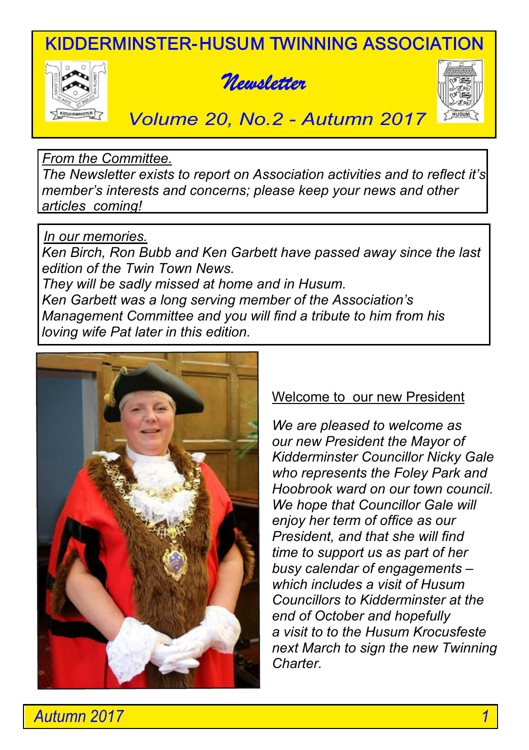KIDDERMINSTER-HUSUM TWINNING ASSOCIATION







*Volume 20, No.2 - Autumn 2017*

*From the Committee.*

 *The Newsletter exists to report on Association activities and to reflect it's member's interests and concerns; please keep your news and other articles coming!*

# *In our memories.*

 *Ken Birch, Ron Bubb and Ken Garbett have passed away since the last edition of the Twin Town News. They will be sadly missed at home and in Husum. Ken Garbett was a long serving member of the Association's Management Committee and you will find a tribute to him from his loving wife Pat later in this edition.*



# Welcome to our new President

*We are pleased to welcome as our new President the Mayor of Kidderminster Councillor Nicky Gale who represents the Foley Park and Hoobrook ward on our town council. We hope that Councillor Gale will enjoy her term of office as our President, and that she will find time to support us as part of her busy calendar of engagements – which includes a visit of Husum Councillors to Kidderminster at the end of October and hopefully a visit to to the Husum Krocusfeste next March to sign the new Twinning Charter.*

*Autumn 2017 1*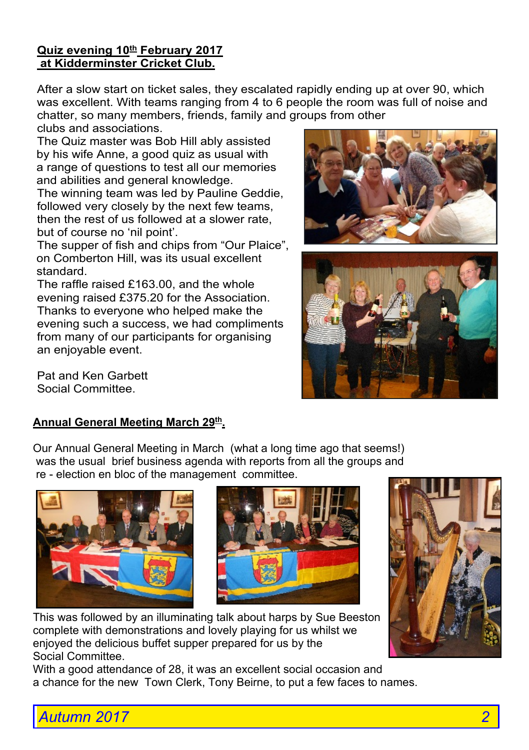#### **Quiz evening 10th February 2017 at Kidderminster Cricket Club.**

After a slow start on ticket sales, they escalated rapidly ending up at over 90, which was excellent. With teams ranging from 4 to 6 people the room was full of noise and chatter, so many members, friends, family and groups from other

clubs and associations.

 The Quiz master was Bob Hill ably assisted by his wife Anne, a good quiz as usual with a range of questions to test all our memories and abilities and general knowledge.

The winning team was led by Pauline Geddie, followed very closely by the next few teams, then the rest of us followed at a slower rate, but of course no 'nil point'.

 The supper of fish and chips from "Our Plaice", on Comberton Hill, was its usual excellent standard.

The raffle raised £163.00, and the whole evening raised £375.20 for the Association. Thanks to everyone who helped make the evening such a success, we had compliments from many of our participants for organising an enjoyable event.

Pat and Ken Garbett Social Committee.

### **Annual General Meeting March 29th .**

 Our Annual General Meeting in March (what a long time ago that seems!) was the usual brief business agenda with reports from all the groups and re - election en bloc of the management committee.





 This was followed by an illuminating talk about harps by Sue Beeston complete with demonstrations and lovely playing for us whilst we enjoyed the delicious buffet supper prepared for us by the Social Committee.

With a good attendance of 28, it was an excellent social occasion and a chance for the new Town Clerk, Tony Beirne, to put a few faces to names.







*Autumn 2017 2*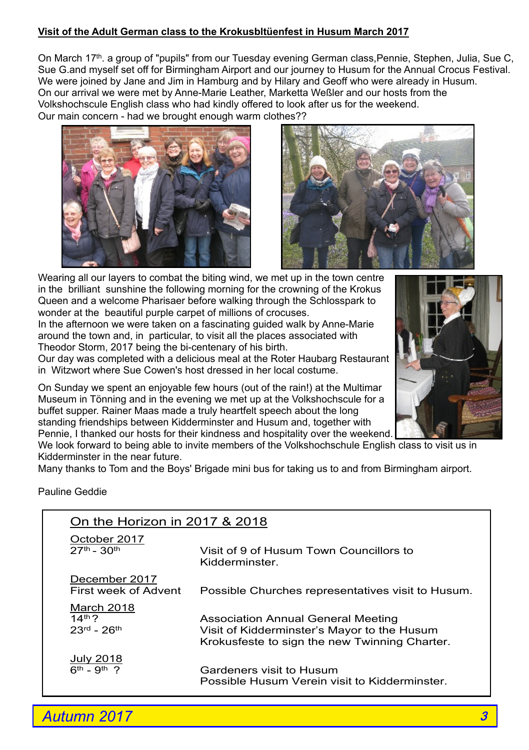#### **Visit of the Adult German class to the Krokusbltüenfest in Husum March 2017**

On March 17<sup>th</sup>, a group of "pupils" from our Tuesday evening German class, Pennie, Stephen, Julia, Sue C, Sue G.and myself set off for Birmingham Airport and our journey to Husum for the Annual Crocus Festival. We were joined by Jane and Jim in Hamburg and by Hilary and Geoff who were already in Husum. On our arrival we were met by Anne-Marie Leather, Marketta Weßler and our hosts from the Volkshochscule English class who had kindly offered to look after us for the weekend. Our main concern - had we brought enough warm clothes??





 Wearing all our layers to combat the biting wind, we met up in the town centre in the brilliant sunshine the following morning for the crowning of the Krokus Queen and a welcome Pharisaer before walking through the Schlosspark to wonder at the beautiful purple carpet of millions of crocuses.

 In the afternoon we were taken on a fascinating guided walk by Anne-Marie around the town and, in particular, to visit all the places associated with Theodor Storm, 2017 being the bi-centenary of his birth.

 Our day was completed with a delicious meal at the Roter Haubarg Restaurant in Witzwort where Sue Cowen's host dressed in her local costume.



 On Sunday we spent an enjoyable few hours (out of the rain!) at the Multimar Museum in Tönning and in the evening we met up at the Volkshochscule for a buffet supper. Rainer Maas made a truly heartfelt speech about the long standing friendships between Kidderminster and Husum and, together with Pennie, I thanked our hosts for their kindness and hospitality over the weekend.

We look forward to being able to invite members of the Volkshochschule English class to visit us in Kidderminster in the near future.

Many thanks to Tom and the Boys' Brigade mini bus for taking us to and from Birmingham airport.

Pauline Geddie

| On the Horizon in 2017 & 2018         |                                                   |
|---------------------------------------|---------------------------------------------------|
| October 2017                          | Visit of 9 of Husum Town Councillors to           |
| $27^{th} - 30^{th}$                   | Kidderminster                                     |
| December 2017<br>First week of Advent | Possible Churches representatives visit to Husum. |
| March 2018                            | Association Annual General Meeting                |
| $14th$ ?                              | Visit of Kidderminster's Mayor to the Husum       |
| $23^{rd} - 26^{th}$                   | Krokusfeste to sign the new Twinning Charter.     |
| July 2018                             | Gardeners visit to Husum                          |
| $6^{th} - 9^{th}$ ?                   | Possible Husum Verein visit to Kidderminster.     |

 *Autumn 2017*